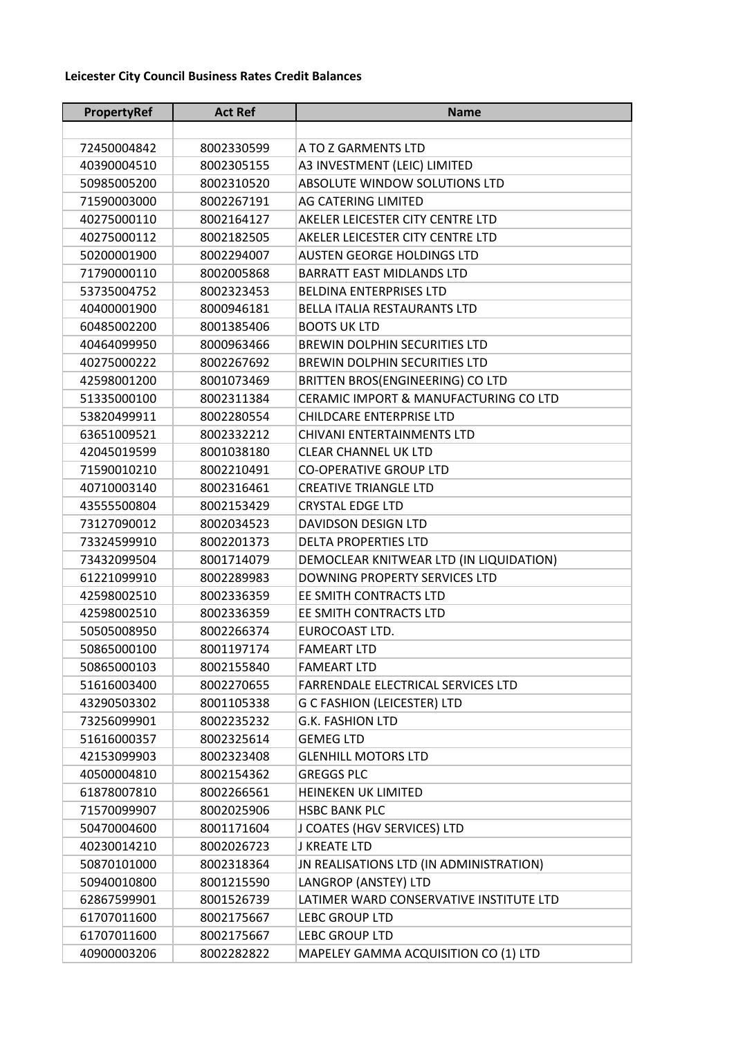## **Leicester City Council Business Rates Credit Balances**

| PropertyRef | <b>Act Ref</b> | <b>Name</b>                             |
|-------------|----------------|-----------------------------------------|
|             |                |                                         |
| 72450004842 | 8002330599     | A TO Z GARMENTS LTD                     |
| 40390004510 | 8002305155     | A3 INVESTMENT (LEIC) LIMITED            |
| 50985005200 | 8002310520     | ABSOLUTE WINDOW SOLUTIONS LTD           |
| 71590003000 | 8002267191     | AG CATERING LIMITED                     |
| 40275000110 | 8002164127     | AKELER LEICESTER CITY CENTRE LTD        |
| 40275000112 | 8002182505     | AKELER LEICESTER CITY CENTRE LTD        |
| 50200001900 | 8002294007     | <b>AUSTEN GEORGE HOLDINGS LTD</b>       |
| 71790000110 | 8002005868     | <b>BARRATT EAST MIDLANDS LTD</b>        |
| 53735004752 | 8002323453     | <b>BELDINA ENTERPRISES LTD</b>          |
| 40400001900 | 8000946181     | BELLA ITALIA RESTAURANTS LTD            |
| 60485002200 | 8001385406     | <b>BOOTS UK LTD</b>                     |
| 40464099950 | 8000963466     | <b>BREWIN DOLPHIN SECURITIES LTD</b>    |
| 40275000222 | 8002267692     | <b>BREWIN DOLPHIN SECURITIES LTD</b>    |
| 42598001200 | 8001073469     | BRITTEN BROS(ENGINEERING) CO LTD        |
| 51335000100 | 8002311384     | CERAMIC IMPORT & MANUFACTURING CO LTD   |
| 53820499911 | 8002280554     | <b>CHILDCARE ENTERPRISE LTD</b>         |
| 63651009521 | 8002332212     | <b>CHIVANI ENTERTAINMENTS LTD</b>       |
| 42045019599 | 8001038180     | <b>CLEAR CHANNEL UK LTD</b>             |
| 71590010210 | 8002210491     | <b>CO-OPERATIVE GROUP LTD</b>           |
| 40710003140 | 8002316461     | <b>CREATIVE TRIANGLE LTD</b>            |
| 43555500804 | 8002153429     | <b>CRYSTAL EDGE LTD</b>                 |
| 73127090012 | 8002034523     | DAVIDSON DESIGN LTD                     |
| 73324599910 | 8002201373     | <b>DELTA PROPERTIES LTD</b>             |
| 73432099504 | 8001714079     | DEMOCLEAR KNITWEAR LTD (IN LIQUIDATION) |
| 61221099910 | 8002289983     | DOWNING PROPERTY SERVICES LTD           |
| 42598002510 | 8002336359     | EE SMITH CONTRACTS LTD                  |
| 42598002510 | 8002336359     | EE SMITH CONTRACTS LTD                  |
| 50505008950 | 8002266374     | EUROCOAST LTD.                          |
| 50865000100 | 8001197174     | <b>FAMEART LTD</b>                      |
| 50865000103 | 8002155840     | <b>FAMEART LTD</b>                      |
| 51616003400 | 8002270655     | FARRENDALE ELECTRICAL SERVICES LTD      |
| 43290503302 | 8001105338     | <b>G C FASHION (LEICESTER) LTD</b>      |
| 73256099901 | 8002235232     | <b>G.K. FASHION LTD</b>                 |
| 51616000357 | 8002325614     | <b>GEMEG LTD</b>                        |
| 42153099903 | 8002323408     | <b>GLENHILL MOTORS LTD</b>              |
| 40500004810 | 8002154362     | <b>GREGGS PLC</b>                       |
| 61878007810 | 8002266561     | <b>HEINEKEN UK LIMITED</b>              |
| 71570099907 | 8002025906     | <b>HSBC BANK PLC</b>                    |
| 50470004600 | 8001171604     | J COATES (HGV SERVICES) LTD             |
| 40230014210 | 8002026723     | J KREATE LTD                            |
| 50870101000 | 8002318364     | JN REALISATIONS LTD (IN ADMINISTRATION) |
| 50940010800 | 8001215590     | LANGROP (ANSTEY) LTD                    |
| 62867599901 | 8001526739     | LATIMER WARD CONSERVATIVE INSTITUTE LTD |
| 61707011600 | 8002175667     | <b>LEBC GROUP LTD</b>                   |
| 61707011600 | 8002175667     | <b>LEBC GROUP LTD</b>                   |
| 40900003206 | 8002282822     | MAPELEY GAMMA ACQUISITION CO (1) LTD    |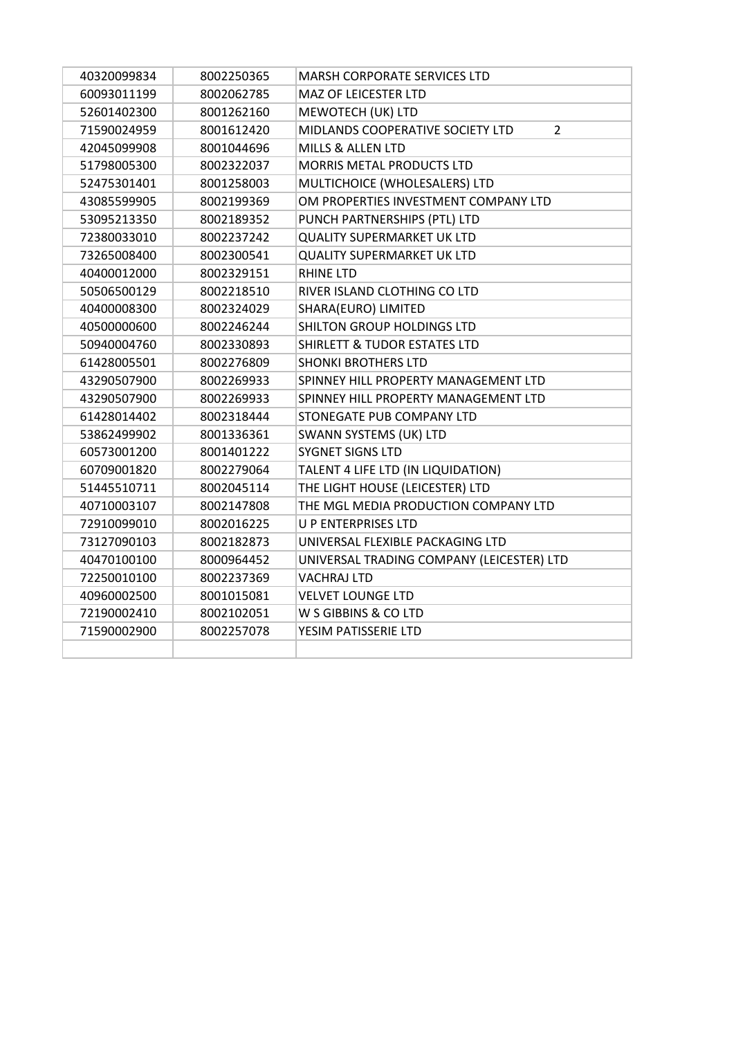| 40320099834 | 8002250365 | <b>MARSH CORPORATE SERVICES LTD</b>                |
|-------------|------------|----------------------------------------------------|
| 60093011199 | 8002062785 | MAZ OF LEICESTER LTD                               |
| 52601402300 | 8001262160 | MEWOTECH (UK) LTD                                  |
| 71590024959 | 8001612420 | MIDLANDS COOPERATIVE SOCIETY LTD<br>$\overline{2}$ |
| 42045099908 | 8001044696 | MILLS & ALLEN LTD                                  |
| 51798005300 | 8002322037 | MORRIS METAL PRODUCTS LTD                          |
| 52475301401 | 8001258003 | MULTICHOICE (WHOLESALERS) LTD                      |
| 43085599905 | 8002199369 | OM PROPERTIES INVESTMENT COMPANY LTD               |
| 53095213350 | 8002189352 | PUNCH PARTNERSHIPS (PTL) LTD                       |
| 72380033010 | 8002237242 | <b>QUALITY SUPERMARKET UK LTD</b>                  |
| 73265008400 | 8002300541 | <b>QUALITY SUPERMARKET UK LTD</b>                  |
| 40400012000 | 8002329151 | <b>RHINE LTD</b>                                   |
| 50506500129 | 8002218510 | RIVER ISLAND CLOTHING CO LTD                       |
| 40400008300 | 8002324029 | SHARA(EURO) LIMITED                                |
| 40500000600 | 8002246244 | SHILTON GROUP HOLDINGS LTD                         |
| 50940004760 | 8002330893 | <b>SHIRLETT &amp; TUDOR ESTATES LTD</b>            |
| 61428005501 | 8002276809 | <b>SHONKI BROTHERS LTD</b>                         |
| 43290507900 | 8002269933 | SPINNEY HILL PROPERTY MANAGEMENT LTD               |
| 43290507900 | 8002269933 | SPINNEY HILL PROPERTY MANAGEMENT LTD               |
| 61428014402 | 8002318444 | STONEGATE PUB COMPANY LTD                          |
| 53862499902 | 8001336361 | SWANN SYSTEMS (UK) LTD                             |
| 60573001200 | 8001401222 | <b>SYGNET SIGNS LTD</b>                            |
| 60709001820 | 8002279064 | TALENT 4 LIFE LTD (IN LIQUIDATION)                 |
| 51445510711 | 8002045114 | THE LIGHT HOUSE (LEICESTER) LTD                    |
| 40710003107 | 8002147808 | THE MGL MEDIA PRODUCTION COMPANY LTD               |
| 72910099010 | 8002016225 | <b>U P ENTERPRISES LTD</b>                         |
| 73127090103 | 8002182873 | UNIVERSAL FLEXIBLE PACKAGING LTD                   |
| 40470100100 | 8000964452 | UNIVERSAL TRADING COMPANY (LEICESTER) LTD          |
| 72250010100 | 8002237369 | <b>VACHRAJ LTD</b>                                 |
| 40960002500 | 8001015081 | <b>VELVET LOUNGE LTD</b>                           |
| 72190002410 | 8002102051 | W S GIBBINS & CO LTD                               |
| 71590002900 | 8002257078 | YESIM PATISSERIE LTD                               |
|             |            |                                                    |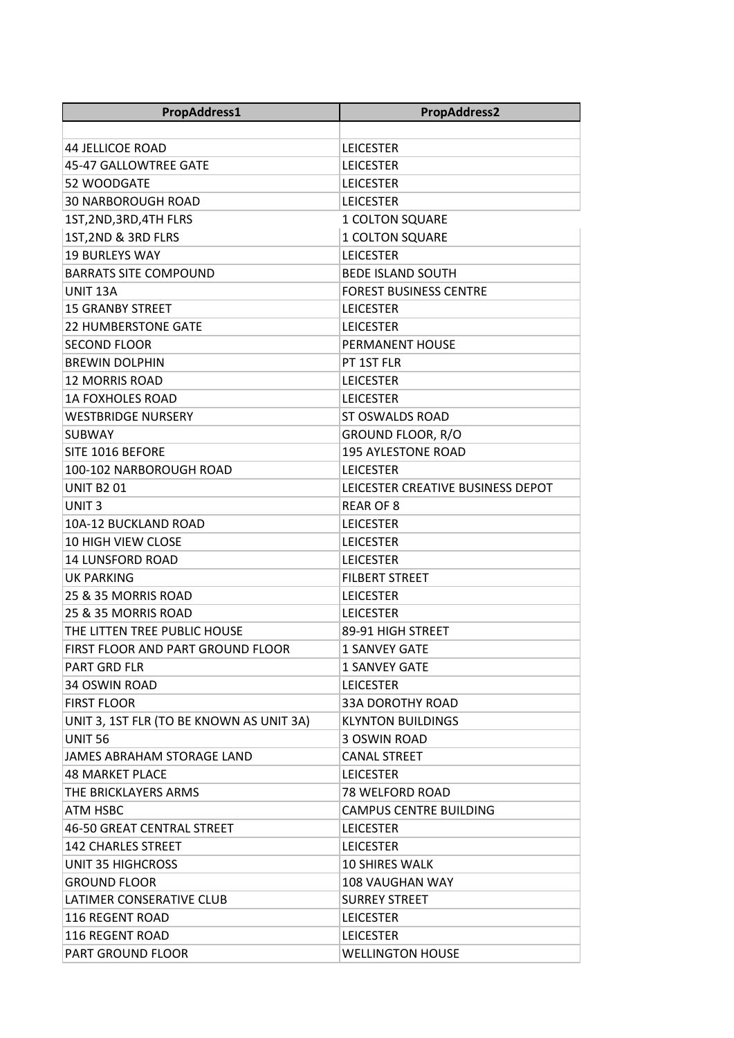| PropAddress1                             | <b>PropAddress2</b>               |  |
|------------------------------------------|-----------------------------------|--|
|                                          |                                   |  |
| <b>44 JELLICOE ROAD</b>                  | <b>LEICESTER</b>                  |  |
| 45-47 GALLOWTREE GATE                    | <b>LEICESTER</b>                  |  |
| 52 WOODGATE                              | <b>LEICESTER</b>                  |  |
| <b>30 NARBOROUGH ROAD</b>                | <b>LEICESTER</b>                  |  |
| 1ST, 2ND, 3RD, 4TH FLRS                  | <b>1 COLTON SQUARE</b>            |  |
| 1ST, 2ND & 3RD FLRS                      | 1 COLTON SQUARE                   |  |
| <b>19 BURLEYS WAY</b>                    | <b>LEICESTER</b>                  |  |
| <b>BARRATS SITE COMPOUND</b>             | <b>BEDE ISLAND SOUTH</b>          |  |
| UNIT 13A                                 | <b>FOREST BUSINESS CENTRE</b>     |  |
| <b>15 GRANBY STREET</b>                  | <b>LEICESTER</b>                  |  |
| <b>22 HUMBERSTONE GATE</b>               | <b>LEICESTER</b>                  |  |
| <b>SECOND FLOOR</b>                      | PERMANENT HOUSE                   |  |
| <b>BREWIN DOLPHIN</b>                    | PT 1ST FLR                        |  |
| 12 MORRIS ROAD                           | <b>LEICESTER</b>                  |  |
| <b>1A FOXHOLES ROAD</b>                  | <b>LEICESTER</b>                  |  |
| <b>WESTBRIDGE NURSERY</b>                | <b>ST OSWALDS ROAD</b>            |  |
| <b>SUBWAY</b>                            | GROUND FLOOR, R/O                 |  |
| SITE 1016 BEFORE                         | <b>195 AYLESTONE ROAD</b>         |  |
| 100-102 NARBOROUGH ROAD                  | <b>LEICESTER</b>                  |  |
| <b>UNIT B201</b>                         | LEICESTER CREATIVE BUSINESS DEPOT |  |
| UNIT 3                                   | <b>REAR OF 8</b>                  |  |
| <b>10A-12 BUCKLAND ROAD</b>              | <b>LEICESTER</b>                  |  |
| <b>10 HIGH VIEW CLOSE</b>                | <b>LEICESTER</b>                  |  |
| <b>14 LUNSFORD ROAD</b>                  | <b>LEICESTER</b>                  |  |
| <b>UK PARKING</b>                        | <b>FILBERT STREET</b>             |  |
| 25 & 35 MORRIS ROAD                      | <b>LEICESTER</b>                  |  |
| 25 & 35 MORRIS ROAD                      | <b>LEICESTER</b>                  |  |
| THE LITTEN TREE PUBLIC HOUSE             | 89-91 HIGH STREET                 |  |
| FIRST FLOOR AND PART GROUND FLOOR        | 1 SANVEY GATE                     |  |
| <b>PART GRD FLR</b>                      | <b>1 SANVEY GATE</b>              |  |
| 34 OSWIN ROAD                            | <b>LEICESTER</b>                  |  |
| <b>FIRST FLOOR</b>                       | <b>33A DOROTHY ROAD</b>           |  |
| UNIT 3, 1ST FLR (TO BE KNOWN AS UNIT 3A) | <b>KLYNTON BUILDINGS</b>          |  |
| UNIT <sub>56</sub>                       | 3 OSWIN ROAD                      |  |
| JAMES ABRAHAM STORAGE LAND               | <b>CANAL STREET</b>               |  |
| <b>48 MARKET PLACE</b>                   | <b>LEICESTER</b>                  |  |
| THE BRICKLAYERS ARMS                     | <b>78 WELFORD ROAD</b>            |  |
| <b>ATM HSBC</b>                          | <b>CAMPUS CENTRE BUILDING</b>     |  |
| 46-50 GREAT CENTRAL STREET               | <b>LEICESTER</b>                  |  |
| <b>142 CHARLES STREET</b>                | <b>LEICESTER</b>                  |  |
| <b>UNIT 35 HIGHCROSS</b>                 | <b>10 SHIRES WALK</b>             |  |
| <b>GROUND FLOOR</b>                      | 108 VAUGHAN WAY                   |  |
| LATIMER CONSERATIVE CLUB                 | <b>SURREY STREET</b>              |  |
| 116 REGENT ROAD                          | <b>LEICESTER</b>                  |  |
| 116 REGENT ROAD                          | <b>LEICESTER</b>                  |  |
| <b>PART GROUND FLOOR</b>                 | <b>WELLINGTON HOUSE</b>           |  |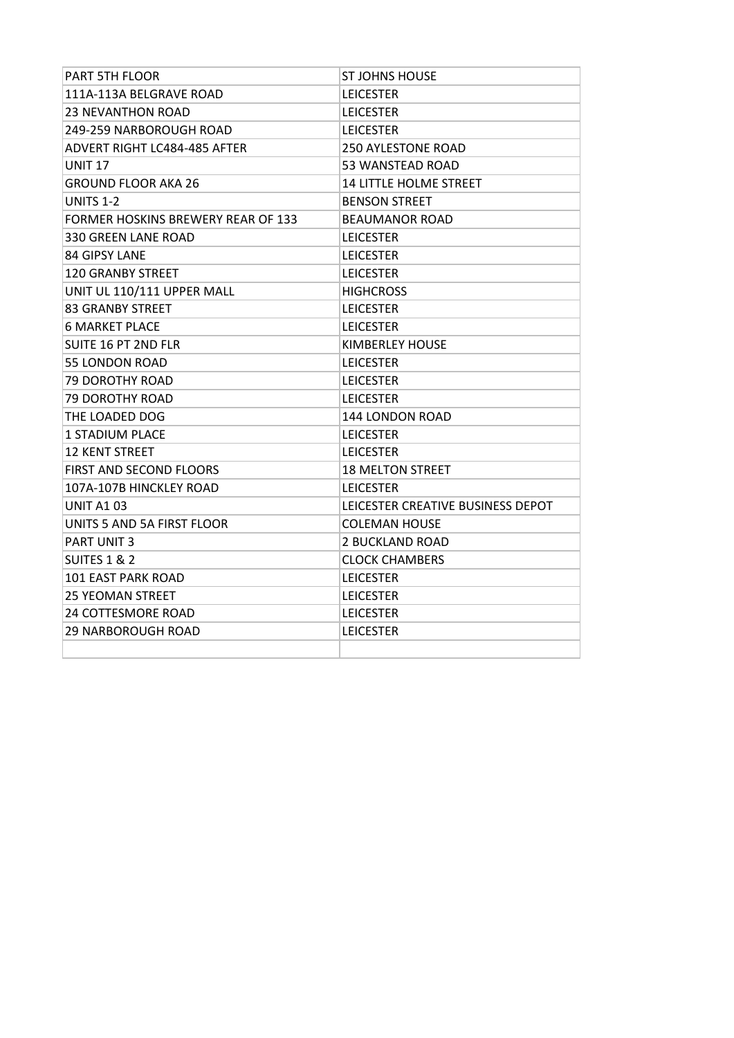| <b>PART 5TH FLOOR</b>              | <b>ST JOHNS HOUSE</b>             |
|------------------------------------|-----------------------------------|
| 111A-113A BELGRAVE ROAD            | <b>LEICESTER</b>                  |
| <b>23 NEVANTHON ROAD</b>           | <b>LEICESTER</b>                  |
| 249-259 NARBOROUGH ROAD            | <b>LEICESTER</b>                  |
| ADVERT RIGHT LC484-485 AFTER       | <b>250 AYLESTONE ROAD</b>         |
| <b>UNIT 17</b>                     | <b>53 WANSTEAD ROAD</b>           |
| <b>GROUND FLOOR AKA 26</b>         | <b>14 LITTLE HOLME STREET</b>     |
| <b>UNITS 1-2</b>                   | <b>BENSON STREET</b>              |
| FORMER HOSKINS BREWERY REAR OF 133 | BEAUMANOR ROAD                    |
| 330 GREEN LANE ROAD                | <b>LEICESTER</b>                  |
| 84 GIPSY LANE                      | <b>LEICESTER</b>                  |
| <b>120 GRANBY STREET</b>           | <b>LEICESTER</b>                  |
| UNIT UL 110/111 UPPER MALL         | <b>HIGHCROSS</b>                  |
| <b>83 GRANBY STREET</b>            | <b>LEICESTER</b>                  |
| <b>6 MARKET PLACE</b>              | <b>LEICESTER</b>                  |
| <b>SUITE 16 PT 2ND FLR</b>         | KIMBERLEY HOUSE                   |
| <b>55 LONDON ROAD</b>              | <b>LEICESTER</b>                  |
| <b>79 DOROTHY ROAD</b>             | <b>LEICESTER</b>                  |
| <b>79 DOROTHY ROAD</b>             | <b>LEICESTER</b>                  |
| THE LOADED DOG                     | 144 LONDON ROAD                   |
| <b>1 STADIUM PLACE</b>             | <b>LEICESTER</b>                  |
| <b>12 KENT STREET</b>              | <b>LEICESTER</b>                  |
| FIRST AND SECOND FLOORS            | <b>18 MELTON STREET</b>           |
| 107A-107B HINCKLEY ROAD            | <b>LEICESTER</b>                  |
| <b>UNIT A103</b>                   | LEICESTER CREATIVE BUSINESS DEPOT |
| UNITS 5 AND 5A FIRST FLOOR         | <b>COLEMAN HOUSE</b>              |
| <b>PART UNIT 3</b>                 | <b>2 BUCKLAND ROAD</b>            |
| SUITES 1 & 2                       | <b>CLOCK CHAMBERS</b>             |
| <b>101 EAST PARK ROAD</b>          | <b>LEICESTER</b>                  |
| <b>25 YEOMAN STREET</b>            | <b>LEICESTER</b>                  |
| <b>24 COTTESMORE ROAD</b>          | <b>LEICESTER</b>                  |
| <b>29 NARBOROUGH ROAD</b>          | <b>LEICESTER</b>                  |
|                                    |                                   |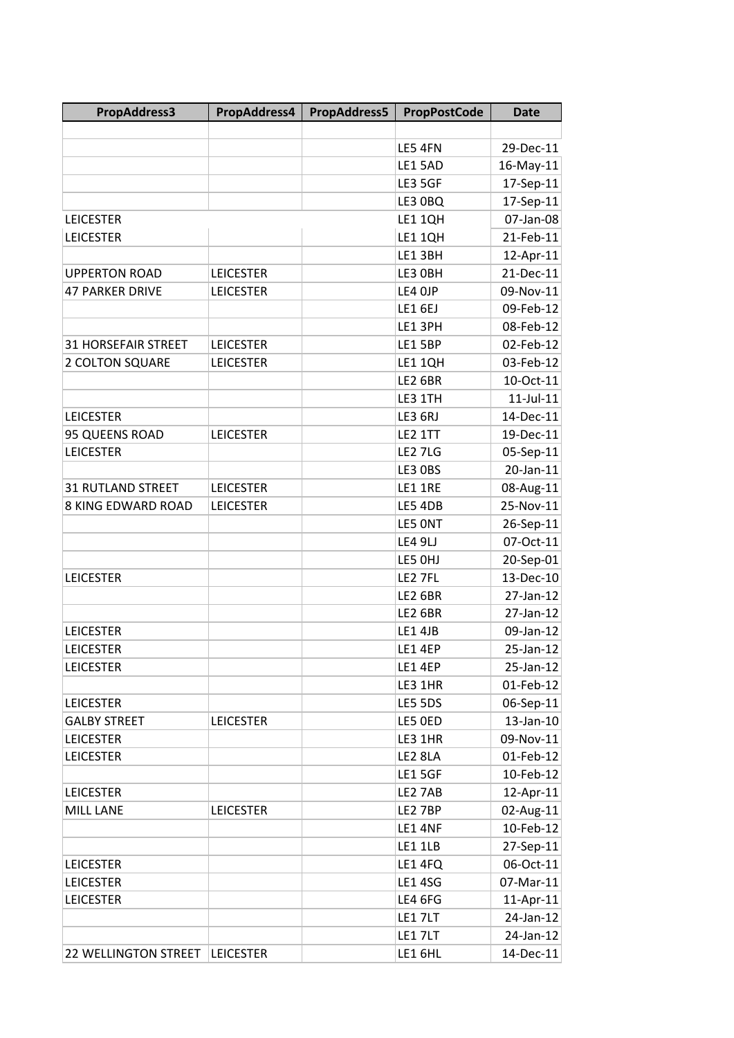| PropAddress3               | PropAddress4     | PropAddress5 | <b>PropPostCode</b> | <b>Date</b>     |
|----------------------------|------------------|--------------|---------------------|-----------------|
|                            |                  |              |                     |                 |
|                            |                  |              | LE5 4FN             | 29-Dec-11       |
|                            |                  |              | LE1 5AD             | 16-May-11       |
|                            |                  |              | LE3 5GF             | 17-Sep-11       |
|                            |                  |              | LE3 0BQ             | 17-Sep-11       |
| <b>LEICESTER</b>           |                  |              | LE1 1QH             | 07-Jan-08       |
| <b>LEICESTER</b>           |                  |              | LE1 1QH             | 21-Feb-11       |
|                            |                  |              | LE1 3BH             | 12-Apr-11       |
| <b>UPPERTON ROAD</b>       | <b>LEICESTER</b> |              | LE3 OBH             | 21-Dec-11       |
| <b>47 PARKER DRIVE</b>     | <b>LEICESTER</b> |              | LE4 OJP             | 09-Nov-11       |
|                            |                  |              | LE16EJ              | 09-Feb-12       |
|                            |                  |              | LE1 3PH             | 08-Feb-12       |
| <b>31 HORSEFAIR STREET</b> | <b>LEICESTER</b> |              | LE1 5BP             | 02-Feb-12       |
| 2 COLTON SQUARE            | <b>LEICESTER</b> |              | LE1 1QH             | 03-Feb-12       |
|                            |                  |              | <b>LE2 6BR</b>      | 10-Oct-11       |
|                            |                  |              | LE3 1TH             | $11$ -Jul- $11$ |
| <b>LEICESTER</b>           |                  |              | LE3 6RJ             | 14-Dec-11       |
| 95 QUEENS ROAD             | <b>LEICESTER</b> |              | LE2 1TT             | 19-Dec-11       |
| <b>LEICESTER</b>           |                  |              | <b>LE2 7LG</b>      | 05-Sep-11       |
|                            |                  |              | LE3 OBS             | 20-Jan-11       |
| <b>31 RUTLAND STREET</b>   | <b>LEICESTER</b> |              | LE1 1RE             | 08-Aug-11       |
| 8 KING EDWARD ROAD         | <b>LEICESTER</b> |              | LE5 4DB             | 25-Nov-11       |
|                            |                  |              | LE5 ONT             | 26-Sep-11       |
|                            |                  |              | LE4 9LJ             | 07-Oct-11       |
|                            |                  |              | LE5 OHJ             | 20-Sep-01       |
| <b>LEICESTER</b>           |                  |              | LE2 7FL             | 13-Dec-10       |
|                            |                  |              | <b>LE2 6BR</b>      | 27-Jan-12       |
|                            |                  |              | LE2 6BR             | 27-Jan-12       |
| <b>LEICESTER</b>           |                  |              | LE1 4JB             | 09-Jan-12       |
| <b>LEICESTER</b>           |                  |              | LE1 4EP             | 25-Jan-12       |
| <b>LEICESTER</b>           |                  |              | LE1 4EP             | 25-Jan-12       |
|                            |                  |              | LE3 1HR             | 01-Feb-12       |
| <b>LEICESTER</b>           |                  |              | LE5 5DS             | 06-Sep-11       |
| <b>GALBY STREET</b>        | <b>LEICESTER</b> |              | LE5 OED             | 13-Jan-10       |
| <b>LEICESTER</b>           |                  |              | LE3 1HR             | 09-Nov-11       |
| <b>LEICESTER</b>           |                  |              | LE2 8LA             | 01-Feb-12       |
|                            |                  |              | <b>LE1 5GF</b>      | 10-Feb-12       |
| <b>LEICESTER</b>           |                  |              | LE2 7AB             | 12-Apr-11       |
| <b>MILL LANE</b>           | <b>LEICESTER</b> |              | LE2 7BP             | 02-Aug-11       |
|                            |                  |              | LE1 4NF             | 10-Feb-12       |
|                            |                  |              | LE1 1LB             | 27-Sep-11       |
| <b>LEICESTER</b>           |                  |              | LE1 4FQ             | 06-Oct-11       |
| <b>LEICESTER</b>           |                  |              | <b>LE1 4SG</b>      | 07-Mar-11       |
| <b>LEICESTER</b>           |                  |              | LE4 6FG             | 11-Apr-11       |
|                            |                  |              | LE17LT              | 24-Jan-12       |
|                            |                  |              | LE17LT              | 24-Jan-12       |
| 22 WELLINGTON STREET       | <b>LEICESTER</b> |              | LE1 6HL             | 14-Dec-11       |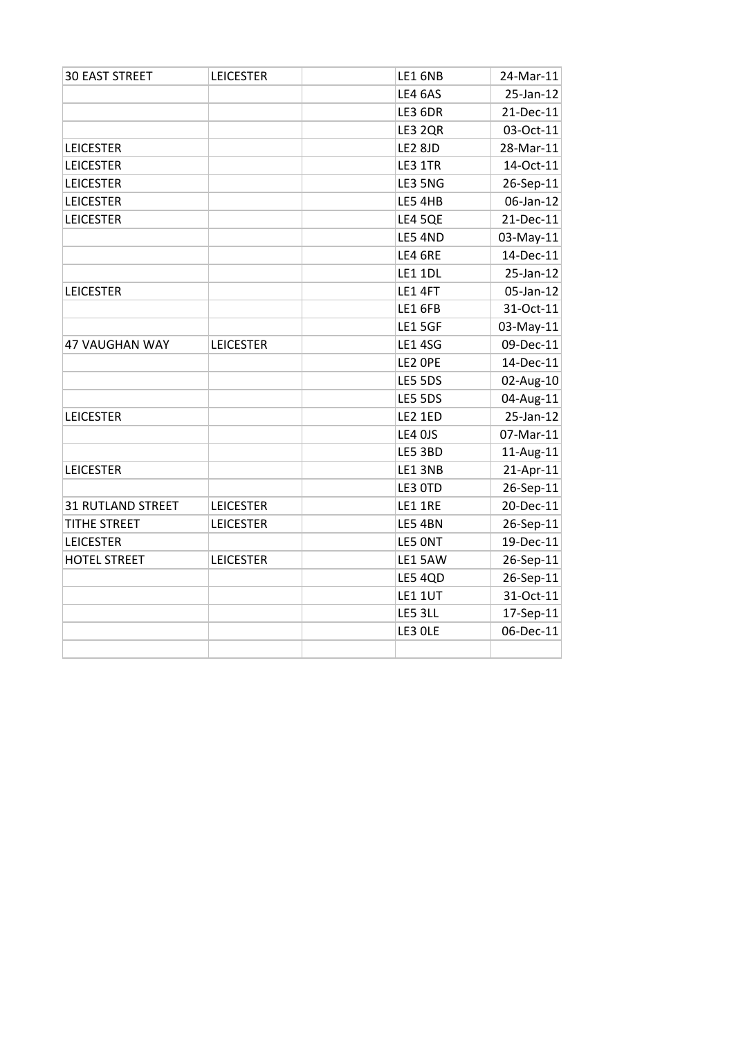| <b>30 EAST STREET</b>    | <b>LEICESTER</b> | LE16NB         | 24-Mar-11    |
|--------------------------|------------------|----------------|--------------|
|                          |                  | LE4 6AS        | 25-Jan-12    |
|                          |                  | <b>LE3 6DR</b> | $21$ -Dec-11 |
|                          |                  | LE3 2QR        | 03-Oct-11    |
| <b>LEICESTER</b>         |                  | <b>LE2 8JD</b> | 28-Mar-11    |
| <b>LEICESTER</b>         |                  | LE3 1TR        | 14-Oct-11    |
| <b>LEICESTER</b>         |                  | LE3 5NG        | $26-Sep-11$  |
| <b>LEICESTER</b>         |                  | LE5 4HB        | 06-Jan-12    |
| <b>LEICESTER</b>         |                  | <b>LE4 5QE</b> | $21$ -Dec-11 |
|                          |                  | LE5 4ND        | $03-May-11$  |
|                          |                  | LE4 6RE        | 14-Dec-11    |
|                          |                  | <b>LE1 1DL</b> | $25$ -Jan-12 |
| <b>LEICESTER</b>         |                  | <b>LE1 4FT</b> | $05$ -Jan-12 |
|                          |                  | LE1 6FB        | 31-Oct-11    |
|                          |                  | <b>LE1 5GF</b> | $03$ -May-11 |
| 47 VAUGHAN WAY           | <b>LEICESTER</b> | <b>LE1 4SG</b> | 09-Dec-11    |
|                          |                  | LE2 OPE        | $14$ -Dec-11 |
|                          |                  | LE5 5DS        | $02$ -Aug-10 |
|                          |                  | LE5 5DS        | 04-Aug-11    |
| <b>LEICESTER</b>         |                  | LE2 1ED        | $25$ -Jan-12 |
|                          |                  | LE4 OJS        | 07-Mar-11    |
|                          |                  | LE5 3BD        | $11$ -Aug-11 |
| <b>LEICESTER</b>         |                  | LE1 3NB        | $21-Apr-11$  |
|                          |                  | LE3 OTD        | $26-Sep-11$  |
| <b>31 RUTLAND STREET</b> | <b>LEICESTER</b> | LE1 1RE        | 20-Dec-11    |
| <b>TITHE STREET</b>      | <b>LEICESTER</b> | LE5 4BN        | 26-Sep-11    |
| <b>LEICESTER</b>         |                  | LE5 ONT        | 19-Dec-11    |
| <b>HOTEL STREET</b>      | <b>LEICESTER</b> | LE1 5AW        | 26-Sep-11    |
|                          |                  | LE5 4QD        | 26-Sep-11    |
|                          |                  | LE1 1UT        | 31-Oct-11    |
|                          |                  | LE5 3LL        | $17-$ Sep-11 |
|                          |                  | LE3 OLE        | 06-Dec-11    |
|                          |                  |                |              |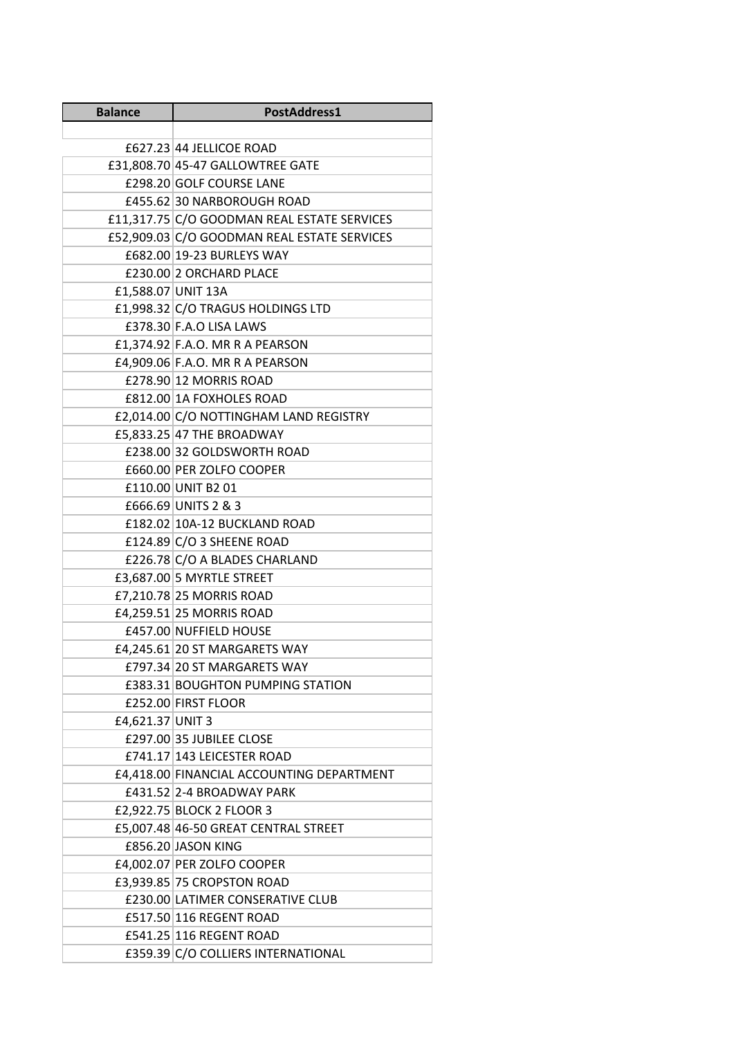| <b>Balance</b>     | PostAddress1                                |  |
|--------------------|---------------------------------------------|--|
|                    |                                             |  |
|                    | £627.23 44 JELLICOE ROAD                    |  |
|                    | £31,808.70 45-47 GALLOWTREE GATE            |  |
|                    | £298.20 GOLF COURSE LANE                    |  |
|                    | £455.62 30 NARBOROUGH ROAD                  |  |
|                    | £11,317.75 C/O GOODMAN REAL ESTATE SERVICES |  |
|                    | £52,909.03 C/O GOODMAN REAL ESTATE SERVICES |  |
|                    | £682.00 19-23 BURLEYS WAY                   |  |
|                    | £230.00 2 ORCHARD PLACE                     |  |
| £1,588.07 UNIT 13A |                                             |  |
|                    | £1,998.32 C/O TRAGUS HOLDINGS LTD           |  |
|                    | £378.30 F.A.O LISA LAWS                     |  |
|                    | £1,374.92 F.A.O. MR R A PEARSON             |  |
|                    | £4,909.06 F.A.O. MR R A PEARSON             |  |
|                    | £278.90 12 MORRIS ROAD                      |  |
|                    | £812.00 1A FOXHOLES ROAD                    |  |
|                    | £2,014.00 C/O NOTTINGHAM LAND REGISTRY      |  |
|                    | £5,833.25 47 THE BROADWAY                   |  |
|                    | £238.00 32 GOLDSWORTH ROAD                  |  |
|                    | £660.00 PER ZOLFO COOPER                    |  |
|                    | £110.00 UNIT B2 01                          |  |
|                    | £666.69 UNITS 2 & 3                         |  |
|                    | £182.02 10A-12 BUCKLAND ROAD                |  |
|                    | £124.89 $C/O$ 3 SHEENE ROAD                 |  |
|                    | £226.78 C/O A BLADES CHARLAND               |  |
|                    | £3,687.00 5 MYRTLE STREET                   |  |
|                    | £7,210.78 25 MORRIS ROAD                    |  |
|                    | £4,259.51 25 MORRIS ROAD                    |  |
|                    | £457.00 NUFFIELD HOUSE                      |  |
|                    | £4,245.61 20 ST MARGARETS WAY               |  |
|                    | £797.34 20 ST MARGARETS WAY                 |  |
|                    | <b>£383.31 BOUGHTON PUMPING STATION</b>     |  |
|                    | £252.00 FIRST FLOOR                         |  |
| £4,621.37 UNIT 3   |                                             |  |
|                    | £297.00 35 JUBILEE CLOSE                    |  |
|                    | £741.17 143 LEICESTER ROAD                  |  |
|                    | £4,418.00 FINANCIAL ACCOUNTING DEPARTMENT   |  |
|                    | £431.52 2-4 BROADWAY PARK                   |  |
|                    | £2,922.75 BLOCK 2 FLOOR 3                   |  |
|                    | £5,007.48 46-50 GREAT CENTRAL STREET        |  |
|                    | £856.20 JASON KING                          |  |
|                    | £4,002.07 PER ZOLFO COOPER                  |  |
|                    | £3,939.85 75 CROPSTON ROAD                  |  |
|                    | £230.00 LATIMER CONSERATIVE CLUB            |  |
|                    | £517.50 116 REGENT ROAD                     |  |
|                    | £541.25 116 REGENT ROAD                     |  |
|                    | £359.39 C/O COLLIERS INTERNATIONAL          |  |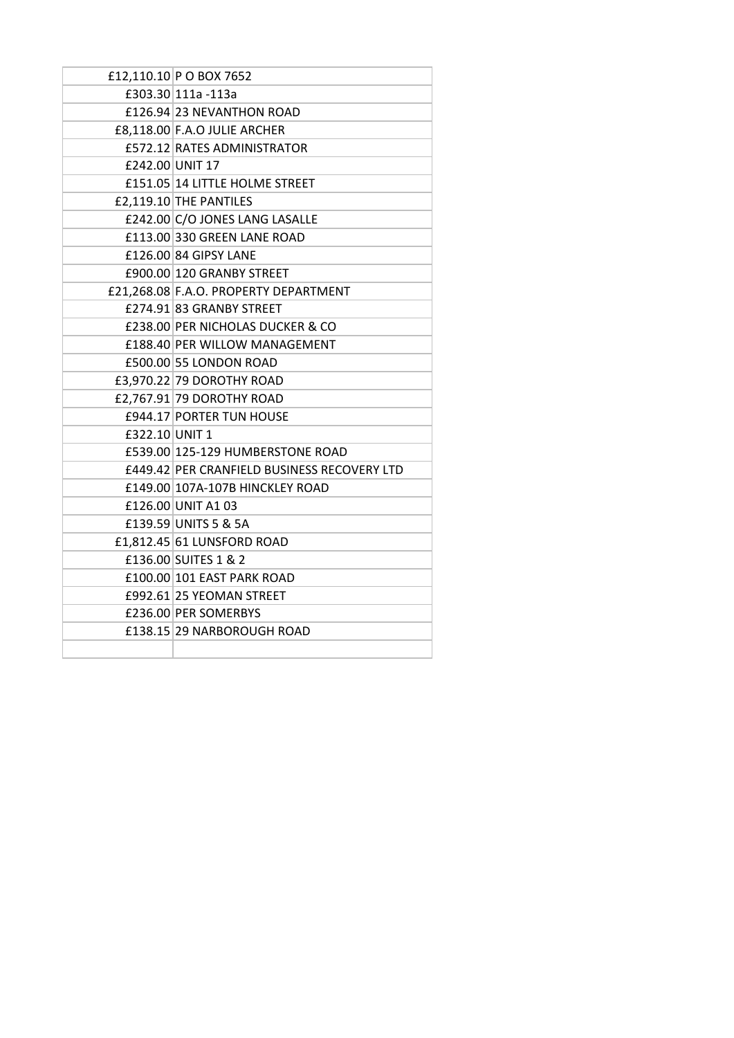|                | £12,110.10 P O BOX 7652                     |
|----------------|---------------------------------------------|
|                | £303.30 111a -113a                          |
|                | £126.94 23 NEVANTHON ROAD                   |
|                | £8,118.00 F.A.O JULIE ARCHER                |
|                | £572.12 RATES ADMINISTRATOR                 |
|                | £242.00 UNIT 17                             |
|                | £151.05 14 LITTLE HOLME STREET              |
|                | $E2,119.10$ THE PANTILES                    |
|                | £242.00 C/O JONES LANG LASALLE              |
|                | £113.00 330 GREEN LANE ROAD                 |
|                | £126.00 84 GIPSY LANE                       |
|                | £900.00 120 GRANBY STREET                   |
|                | £21,268.08 F.A.O. PROPERTY DEPARTMENT       |
|                | £274.91 83 GRANBY STREET                    |
|                | £238.00 PER NICHOLAS DUCKER & CO            |
|                | £188.40 PER WILLOW MANAGEMENT               |
|                | £500.00 55 LONDON ROAD                      |
|                | £3,970.22 79 DOROTHY ROAD                   |
|                | £2,767.91 79 DOROTHY ROAD                   |
|                | £944.17 PORTER TUN HOUSE                    |
| £322.10 UNIT 1 |                                             |
|                | £539.00 125-129 HUMBERSTONE ROAD            |
|                | £449.42 PER CRANFIELD BUSINESS RECOVERY LTD |
|                | £149.00 107A-107B HINCKLEY ROAD             |
|                | £126.00 UNIT A1 03                          |
|                | £139.59 UNITS 5 & 5A                        |
|                | £1,812.45 61 LUNSFORD ROAD                  |
|                | £136.00 SUITES 1 & 2                        |
|                | £100.00 101 EAST PARK ROAD                  |
|                | £992.61 25 YEOMAN STREET                    |
|                | £236.00 PER SOMERBYS                        |
|                | £138.15 29 NARBOROUGH ROAD                  |
|                |                                             |
|                |                                             |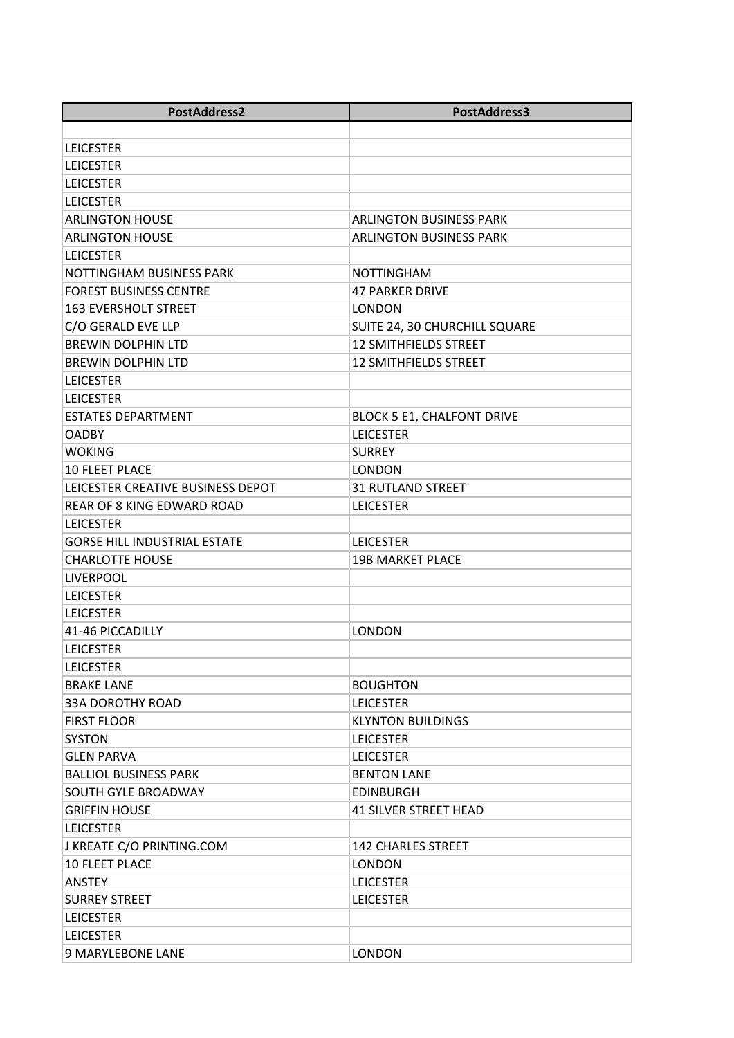| PostAddress2                        | PostAddress3                      |
|-------------------------------------|-----------------------------------|
|                                     |                                   |
| <b>LEICESTER</b>                    |                                   |
| <b>LEICESTER</b>                    |                                   |
| <b>LEICESTER</b>                    |                                   |
| <b>LEICESTER</b>                    |                                   |
| <b>ARLINGTON HOUSE</b>              | <b>ARLINGTON BUSINESS PARK</b>    |
| <b>ARLINGTON HOUSE</b>              | <b>ARLINGTON BUSINESS PARK</b>    |
| <b>LEICESTER</b>                    |                                   |
| NOTTINGHAM BUSINESS PARK            | <b>NOTTINGHAM</b>                 |
| <b>FOREST BUSINESS CENTRE</b>       | <b>47 PARKER DRIVE</b>            |
| <b>163 EVERSHOLT STREET</b>         | <b>LONDON</b>                     |
| C/O GERALD EVE LLP                  | SUITE 24, 30 CHURCHILL SQUARE     |
| <b>BREWIN DOLPHIN LTD</b>           | 12 SMITHFIELDS STREET             |
| <b>BREWIN DOLPHIN LTD</b>           | <b>12 SMITHFIELDS STREET</b>      |
| <b>LEICESTER</b>                    |                                   |
| <b>LEICESTER</b>                    |                                   |
| <b>ESTATES DEPARTMENT</b>           | <b>BLOCK 5 E1, CHALFONT DRIVE</b> |
| <b>OADBY</b>                        | <b>LEICESTER</b>                  |
| <b>WOKING</b>                       | <b>SURREY</b>                     |
| <b>10 FLEET PLACE</b>               | <b>LONDON</b>                     |
| LEICESTER CREATIVE BUSINESS DEPOT   | <b>31 RUTLAND STREET</b>          |
| REAR OF 8 KING EDWARD ROAD          | <b>LEICESTER</b>                  |
| <b>LEICESTER</b>                    |                                   |
| <b>GORSE HILL INDUSTRIAL ESTATE</b> | <b>LEICESTER</b>                  |
| <b>CHARLOTTE HOUSE</b>              | <b>19B MARKET PLACE</b>           |
| <b>LIVERPOOL</b>                    |                                   |
| <b>LEICESTER</b>                    |                                   |
| <b>LEICESTER</b>                    |                                   |
| 41-46 PICCADILLY                    | <b>LONDON</b>                     |
| <b>LEICESTER</b>                    |                                   |
| <b>LEICESTER</b>                    |                                   |
| <b>BRAKE LANE</b>                   | <b>BOUGHTON</b>                   |
| <b>33A DOROTHY ROAD</b>             | <b>LEICESTER</b>                  |
| <b>FIRST FLOOR</b>                  | <b>KLYNTON BUILDINGS</b>          |
| <b>SYSTON</b>                       | <b>LEICESTER</b>                  |
| <b>GLEN PARVA</b>                   | <b>LEICESTER</b>                  |
| <b>BALLIOL BUSINESS PARK</b>        | <b>BENTON LANE</b>                |
| <b>SOUTH GYLE BROADWAY</b>          | <b>EDINBURGH</b>                  |
| <b>GRIFFIN HOUSE</b>                | <b>41 SILVER STREET HEAD</b>      |
| <b>LEICESTER</b>                    |                                   |
| J KREATE C/O PRINTING.COM           | <b>142 CHARLES STREET</b>         |
| <b>10 FLEET PLACE</b>               | <b>LONDON</b>                     |
| <b>ANSTEY</b>                       | <b>LEICESTER</b>                  |
| <b>SURREY STREET</b>                | <b>LEICESTER</b>                  |
| <b>LEICESTER</b>                    |                                   |
| LEICESTER                           |                                   |
| 9 MARYLEBONE LANE                   | <b>LONDON</b>                     |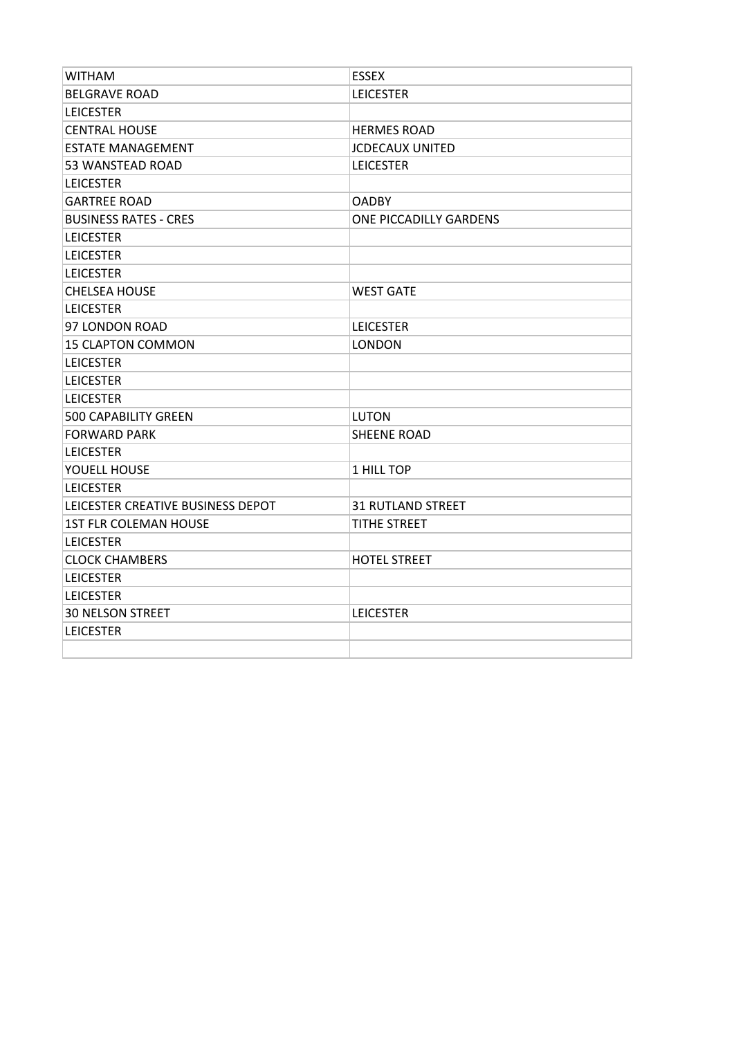| <b>WITHAM</b>                     | <b>ESSEX</b>             |
|-----------------------------------|--------------------------|
| <b>BELGRAVE ROAD</b>              | <b>LEICESTER</b>         |
| <b>LEICESTER</b>                  |                          |
| <b>CENTRAL HOUSE</b>              | <b>HERMES ROAD</b>       |
| <b>ESTATE MANAGEMENT</b>          | <b>JCDECAUX UNITED</b>   |
| 53 WANSTEAD ROAD                  | <b>LEICESTER</b>         |
| <b>LEICESTER</b>                  |                          |
| <b>GARTREE ROAD</b>               | <b>OADBY</b>             |
| <b>BUSINESS RATES - CRES</b>      | ONE PICCADILLY GARDENS   |
| <b>LEICESTER</b>                  |                          |
| <b>LEICESTER</b>                  |                          |
| <b>LEICESTER</b>                  |                          |
| <b>CHELSEA HOUSE</b>              | <b>WEST GATE</b>         |
| <b>LEICESTER</b>                  |                          |
| 97 LONDON ROAD                    | <b>LEICESTER</b>         |
| <b>15 CLAPTON COMMON</b>          | LONDON                   |
| <b>LEICESTER</b>                  |                          |
| <b>LEICESTER</b>                  |                          |
| <b>LEICESTER</b>                  |                          |
| <b>500 CAPABILITY GREEN</b>       | <b>LUTON</b>             |
| <b>FORWARD PARK</b>               | <b>SHEENE ROAD</b>       |
| <b>LEICESTER</b>                  |                          |
| YOUELL HOUSE                      | 1 HILL TOP               |
| <b>LEICESTER</b>                  |                          |
| LEICESTER CREATIVE BUSINESS DEPOT | <b>31 RUTLAND STREET</b> |
| <b>1ST FLR COLEMAN HOUSE</b>      | <b>TITHE STREET</b>      |
| <b>LEICESTER</b>                  |                          |
| <b>CLOCK CHAMBERS</b>             | <b>HOTEL STREET</b>      |
| <b>LEICESTER</b>                  |                          |
| <b>LEICESTER</b>                  |                          |
| <b>30 NELSON STREET</b>           | <b>LEICESTER</b>         |
| <b>LEICESTER</b>                  |                          |
|                                   |                          |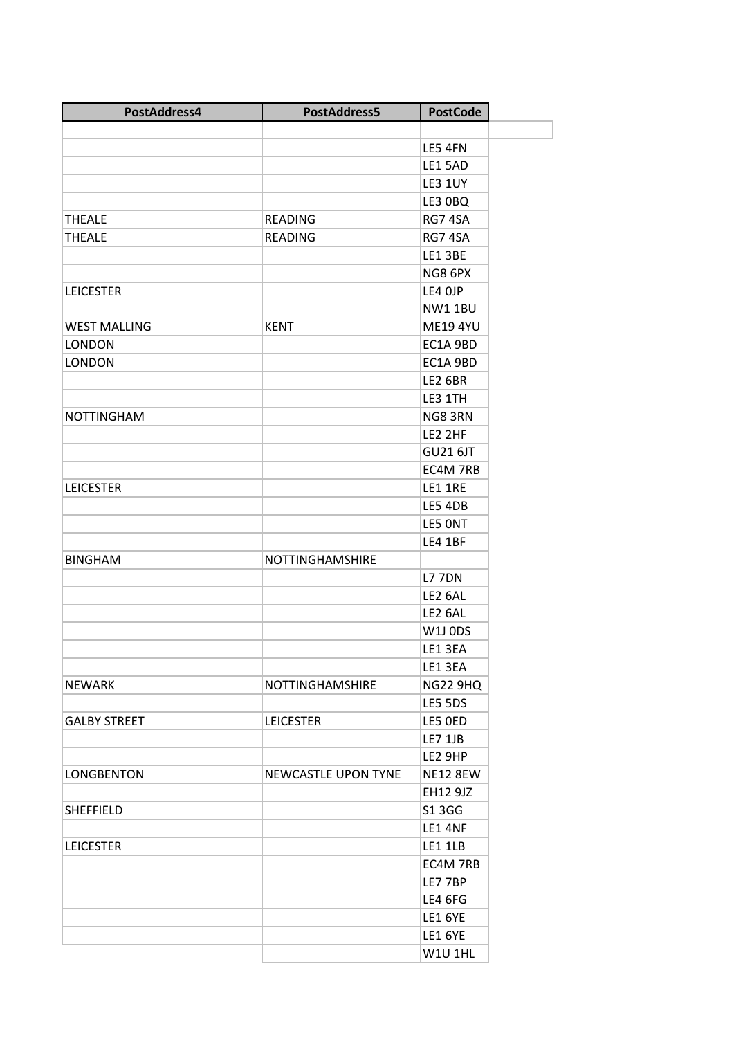| PostAddress4        | PostAddress5               | <b>PostCode</b> |  |
|---------------------|----------------------------|-----------------|--|
|                     |                            |                 |  |
|                     |                            | LE5 4FN         |  |
|                     |                            | LE1 5AD         |  |
|                     |                            | <b>LE3 1UY</b>  |  |
|                     |                            | LE3 0BQ         |  |
| <b>THEALE</b>       | <b>READING</b>             | RG7 4SA         |  |
| <b>THEALE</b>       | <b>READING</b>             | RG7 4SA         |  |
|                     |                            | <b>LE1 3BE</b>  |  |
|                     |                            | NG8 6PX         |  |
| <b>LEICESTER</b>    |                            | LE4 OJP         |  |
|                     |                            | <b>NW11BU</b>   |  |
| <b>WEST MALLING</b> | <b>KENT</b>                | <b>ME19 4YU</b> |  |
| <b>LONDON</b>       |                            | EC1A 9BD        |  |
| <b>LONDON</b>       |                            | EC1A 9BD        |  |
|                     |                            | <b>LE2 6BR</b>  |  |
|                     |                            | LE3 1TH         |  |
| <b>NOTTINGHAM</b>   |                            | NG83RN          |  |
|                     |                            | LE2 2HF         |  |
|                     |                            | <b>GU21 6JT</b> |  |
|                     |                            | EC4M 7RB        |  |
| <b>LEICESTER</b>    |                            | LE1 1RE         |  |
|                     |                            | LE5 4DB         |  |
|                     |                            | LE5 ONT         |  |
|                     |                            | LE4 1BF         |  |
| <b>BINGHAM</b>      | NOTTINGHAMSHIRE            |                 |  |
|                     |                            | <b>L7 7DN</b>   |  |
|                     |                            | LE2 6AL         |  |
|                     |                            | LE2 6AL         |  |
|                     |                            | <b>W1J 0DS</b>  |  |
|                     |                            | LE1 3EA         |  |
|                     |                            | LE1 3EA         |  |
| <b>NEWARK</b>       | NOTTINGHAMSHIRE            | <b>NG22 9HQ</b> |  |
|                     |                            | LE5 5DS         |  |
| <b>GALBY STREET</b> | <b>LEICESTER</b>           | LE5 OED         |  |
|                     |                            | <b>LE7 1JB</b>  |  |
|                     |                            | LE2 9HP         |  |
| <b>LONGBENTON</b>   | <b>NEWCASTLE UPON TYNE</b> | <b>NE12 8EW</b> |  |
|                     |                            | EH12 9JZ        |  |
| <b>SHEFFIELD</b>    |                            | S1 3 G G        |  |
|                     |                            | LE1 4NF         |  |
| <b>LEICESTER</b>    |                            | LE1 1LB         |  |
|                     |                            | EC4M 7RB        |  |
|                     |                            | LE7 7BP         |  |
|                     |                            | LE4 6FG         |  |
|                     |                            | <b>LE1 6YE</b>  |  |
|                     |                            | <b>LE1 6YE</b>  |  |
|                     |                            | <b>W1U 1HL</b>  |  |
|                     |                            |                 |  |